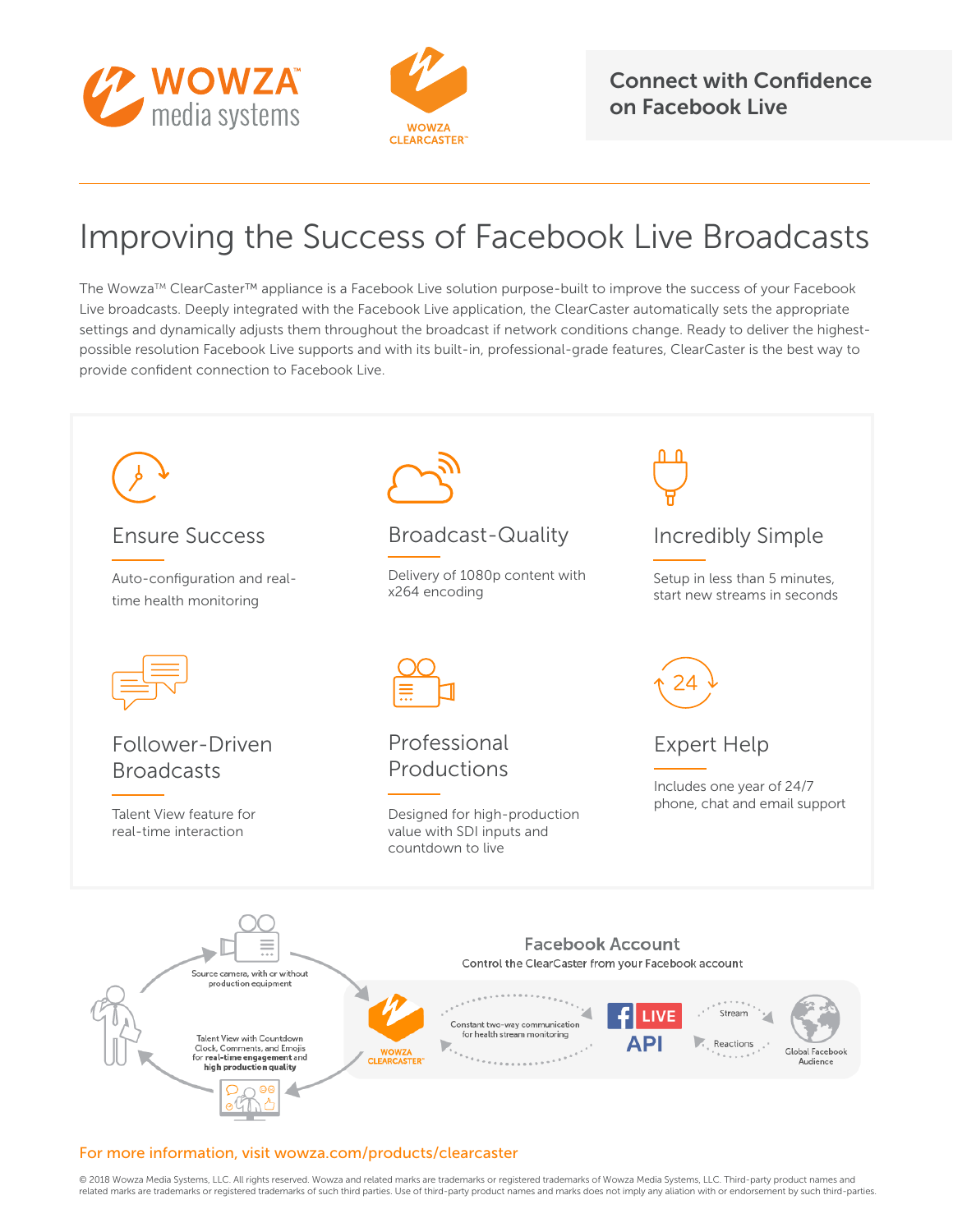



Connect with Confidence on Facebook Live

## Improving the Success of Facebook Live Broadcasts

The Wowza™ ClearCaster™ appliance is a Facebook Live solution purpose-built to improve the success of your Facebook Live broadcasts. Deeply integrated with the Facebook Live application, the ClearCaster automatically sets the appropriate settings and dynamically adjusts them throughout the broadcast if network conditions change. Ready to deliver the highestpossible resolution Facebook Live supports and with its built-in, professional-grade features, ClearCaster is the best way to provide confident connection to Facebook Live.



## For more information, visit wowza.com/products/clearcaster

© 2018 Wowza Media Systems, LLC. All rights reserved. Wowza and related marks are trademarks or registered trademarks of Wowza Media Systems, LLC. Third-party product names and related marks are trademarks or registered trademarks of such third parties. Use of third-party product names and marks does not imply any aliation with or endorsement by such third-parties.